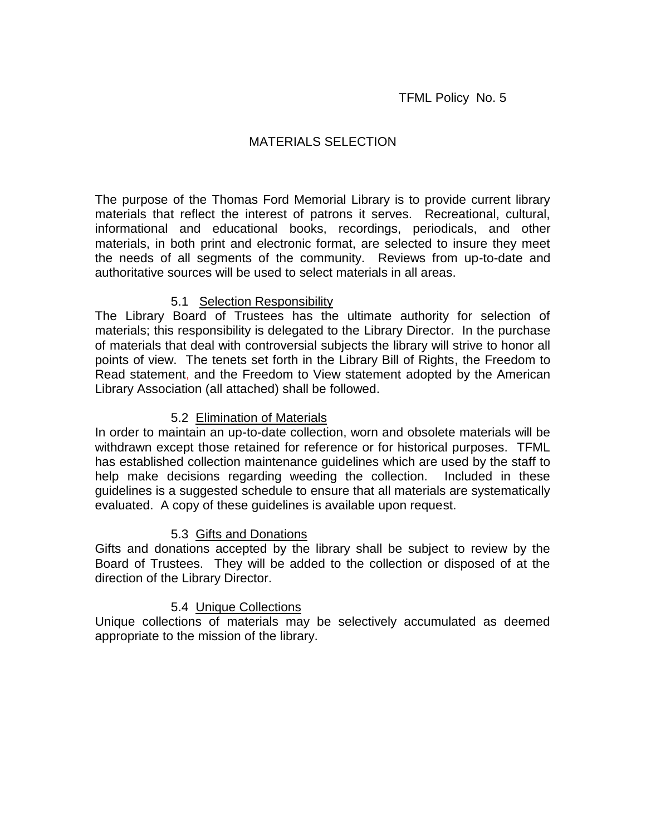# MATERIALS SELECTION

The purpose of the Thomas Ford Memorial Library is to provide current library materials that reflect the interest of patrons it serves. Recreational, cultural, informational and educational books, recordings, periodicals, and other materials, in both print and electronic format, are selected to insure they meet the needs of all segments of the community. Reviews from up-to-date and authoritative sources will be used to select materials in all areas.

#### 5.1 Selection Responsibility

The Library Board of Trustees has the ultimate authority for selection of materials; this responsibility is delegated to the Library Director. In the purchase of materials that deal with controversial subjects the library will strive to honor all points of view. The tenets set forth in the Library Bill of Rights, the Freedom to Read statement, and the Freedom to View statement adopted by the American Library Association (all attached) shall be followed.

#### 5.2 Elimination of Materials

In order to maintain an up-to-date collection, worn and obsolete materials will be withdrawn except those retained for reference or for historical purposes. TFML has established collection maintenance guidelines which are used by the staff to help make decisions regarding weeding the collection. Included in these guidelines is a suggested schedule to ensure that all materials are systematically evaluated. A copy of these guidelines is available upon request.

## 5.3 Gifts and Donations

Gifts and donations accepted by the library shall be subject to review by the Board of Trustees. They will be added to the collection or disposed of at the direction of the Library Director.

## 5.4 Unique Collections

Unique collections of materials may be selectively accumulated as deemed appropriate to the mission of the library.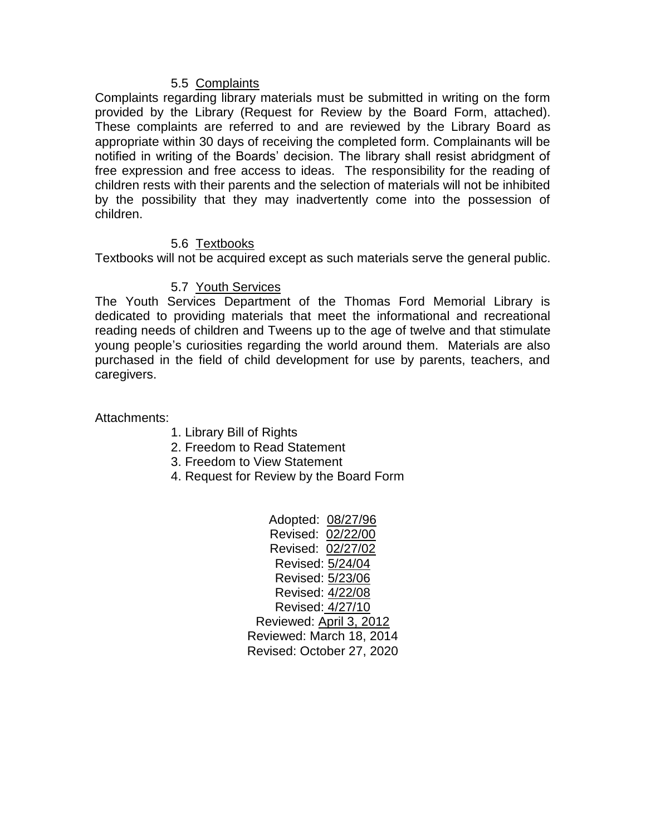#### 5.5 Complaints

Complaints regarding library materials must be submitted in writing on the form provided by the Library (Request for Review by the Board Form, attached). These complaints are referred to and are reviewed by the Library Board as appropriate within 30 days of receiving the completed form. Complainants will be notified in writing of the Boards' decision. The library shall resist abridgment of free expression and free access to ideas. The responsibility for the reading of children rests with their parents and the selection of materials will not be inhibited by the possibility that they may inadvertently come into the possession of children.

#### 5.6 Textbooks

Textbooks will not be acquired except as such materials serve the general public.

#### 5.7 Youth Services

The Youth Services Department of the Thomas Ford Memorial Library is dedicated to providing materials that meet the informational and recreational reading needs of children and Tweens up to the age of twelve and that stimulate young people's curiosities regarding the world around them. Materials are also purchased in the field of child development for use by parents, teachers, and caregivers.

Attachments:

- 1. Library Bill of Rights
- 2. Freedom to Read Statement
- 3. Freedom to View Statement
- 4. Request for Review by the Board Form

Adopted: 08/27/96 Revised: 02/22/00 Revised: 02/27/02 Revised: 5/24/04 Revised: 5/23/06 Revised: 4/22/08 Revised: 4/27/10 Reviewed: April 3, 2012 Reviewed: March 18, 2014 Revised: October 27, 2020